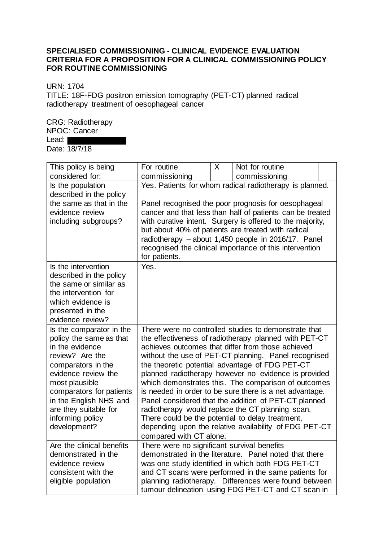## **SPECIALISED COMMISSIONING - CLINICAL EVIDENCE EVALUATION CRITERIA FOR A PROPOSITION FOR A CLINICAL COMMISSIONING POLICY FOR ROUTINE COMMISSIONING**

URN: 1704

TITLE: 18F-FDG positron emission tomography (PET-CT) planned radical radiotherapy treatment of oesophageal cancer

CRG: Radiotherapy NPOC: Cancer Lead: Date: 18/7/18

| This policy is being                       | For routine                                                                                                | $\sf X$ | Not for routine                                         |  |  |  |
|--------------------------------------------|------------------------------------------------------------------------------------------------------------|---------|---------------------------------------------------------|--|--|--|
| considered for:                            | commissioning                                                                                              |         | commissioning                                           |  |  |  |
| Is the population                          | Yes. Patients for whom radical radiotherapy is planned.                                                    |         |                                                         |  |  |  |
| described in the policy                    |                                                                                                            |         |                                                         |  |  |  |
| the same as that in the                    | Panel recognised the poor prognosis for oesophageal                                                        |         |                                                         |  |  |  |
| evidence review                            | cancer and that less than half of patients can be treated                                                  |         |                                                         |  |  |  |
| including subgroups?                       | with curative intent. Surgery is offered to the majority,                                                  |         |                                                         |  |  |  |
|                                            | but about 40% of patients are treated with radical                                                         |         |                                                         |  |  |  |
|                                            | radiotherapy - about 1,450 people in 2016/17. Panel                                                        |         |                                                         |  |  |  |
|                                            | recognised the clinical importance of this intervention                                                    |         |                                                         |  |  |  |
|                                            | for patients.                                                                                              |         |                                                         |  |  |  |
| Is the intervention                        | Yes.                                                                                                       |         |                                                         |  |  |  |
| described in the policy                    |                                                                                                            |         |                                                         |  |  |  |
| the same or similar as                     |                                                                                                            |         |                                                         |  |  |  |
| the intervention for                       |                                                                                                            |         |                                                         |  |  |  |
| which evidence is                          |                                                                                                            |         |                                                         |  |  |  |
| presented in the<br>evidence review?       |                                                                                                            |         |                                                         |  |  |  |
|                                            |                                                                                                            |         |                                                         |  |  |  |
| Is the comparator in the                   | There were no controlled studies to demonstrate that                                                       |         |                                                         |  |  |  |
| policy the same as that<br>in the evidence | the effectiveness of radiotherapy planned with PET-CT<br>achieves outcomes that differ from those achieved |         |                                                         |  |  |  |
| review? Are the                            | without the use of PET-CT planning. Panel recognised                                                       |         |                                                         |  |  |  |
| comparators in the                         |                                                                                                            |         | the theoretic potential advantage of FDG PET-CT         |  |  |  |
| evidence review the                        |                                                                                                            |         | planned radiotherapy however no evidence is provided    |  |  |  |
| most plausible                             |                                                                                                            |         | which demonstrates this. The comparison of outcomes     |  |  |  |
| comparators for patients                   |                                                                                                            |         | is needed in order to be sure there is a net advantage. |  |  |  |
| in the English NHS and                     |                                                                                                            |         | Panel considered that the addition of PET-CT planned    |  |  |  |
| are they suitable for                      |                                                                                                            |         | radiotherapy would replace the CT planning scan.        |  |  |  |
| informing policy                           |                                                                                                            |         | There could be the potential to delay treatment,        |  |  |  |
| development?                               |                                                                                                            |         | depending upon the relative availability of FDG PET-CT  |  |  |  |
|                                            | compared with CT alone.                                                                                    |         |                                                         |  |  |  |
| Are the clinical benefits                  | There were no significant survival benefits                                                                |         |                                                         |  |  |  |
| demonstrated in the                        |                                                                                                            |         | demonstrated in the literature. Panel noted that there  |  |  |  |
| evidence review                            | was one study identified in which both FDG PET-CT                                                          |         |                                                         |  |  |  |
| consistent with the                        | and CT scans were performed in the same patients for                                                       |         |                                                         |  |  |  |
| eligible population                        |                                                                                                            |         | planning radiotherapy. Differences were found between   |  |  |  |
|                                            |                                                                                                            |         | tumour delineation using FDG PET-CT and CT scan in      |  |  |  |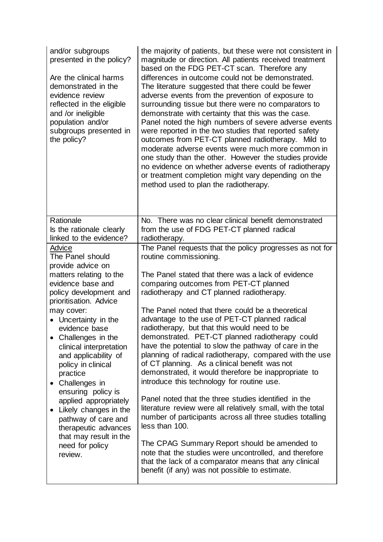|                                                                                                                                                                                                                                                                                                                                                                                                                                                                                                                      | the majority of patients, but these were not consistent in<br>magnitude or direction. All patients received treatment<br>based on the FDG PET-CT scan. Therefore any<br>differences in outcome could not be demonstrated.<br>The literature suggested that there could be fewer<br>adverse events from the prevention of exposure to<br>surrounding tissue but there were no comparators to<br>demonstrate with certainty that this was the case.<br>Panel noted the high numbers of severe adverse events<br>were reported in the two studies that reported safety<br>outcomes from PET-CT planned radiotherapy. Mild to<br>moderate adverse events were much more common in<br>one study than the other. However the studies provide<br>no evidence on whether adverse events of radiotherapy<br>or treatment completion might vary depending on the<br>method used to plan the radiotherapy.                                                                                                                                                                                               |
|----------------------------------------------------------------------------------------------------------------------------------------------------------------------------------------------------------------------------------------------------------------------------------------------------------------------------------------------------------------------------------------------------------------------------------------------------------------------------------------------------------------------|-----------------------------------------------------------------------------------------------------------------------------------------------------------------------------------------------------------------------------------------------------------------------------------------------------------------------------------------------------------------------------------------------------------------------------------------------------------------------------------------------------------------------------------------------------------------------------------------------------------------------------------------------------------------------------------------------------------------------------------------------------------------------------------------------------------------------------------------------------------------------------------------------------------------------------------------------------------------------------------------------------------------------------------------------------------------------------------------------|
| Rationale<br>Is the rationale clearly<br>linked to the evidence?                                                                                                                                                                                                                                                                                                                                                                                                                                                     | No. There was no clear clinical benefit demonstrated<br>from the use of FDG PET-CT planned radical<br>radiotherapy.                                                                                                                                                                                                                                                                                                                                                                                                                                                                                                                                                                                                                                                                                                                                                                                                                                                                                                                                                                           |
| Advice<br>The Panel should<br>provide advice on<br>matters relating to the<br>evidence base and<br>policy development and<br>prioritisation. Advice<br>may cover:<br>• Uncertainty in the<br>evidence base<br>Challenges in the<br>clinical interpretation<br>and applicability of<br>policy in clinical<br>practice<br>Challenges in<br>ensuring policy is<br>applied appropriately<br>Likely changes in the<br>pathway of care and<br>therapeutic advances<br>that may result in the<br>need for policy<br>review. | The Panel requests that the policy progresses as not for<br>routine commissioning.<br>The Panel stated that there was a lack of evidence<br>comparing outcomes from PET-CT planned<br>radiotherapy and CT planned radiotherapy.<br>The Panel noted that there could be a theoretical<br>advantage to the use of PET-CT planned radical<br>radiotherapy, but that this would need to be<br>demonstrated. PET-CT planned radiotherapy could<br>have the potential to slow the pathway of care in the<br>planning of radical radiotherapy, compared with the use<br>of CT planning. As a clinical benefit was not<br>demonstrated, it would therefore be inappropriate to<br>introduce this technology for routine use.<br>Panel noted that the three studies identified in the<br>literature review were all relatively small, with the total<br>number of participants across all three studies totalling<br>less than 100.<br>The CPAG Summary Report should be amended to<br>note that the studies were uncontrolled, and therefore<br>that the lack of a comparator means that any clinical |